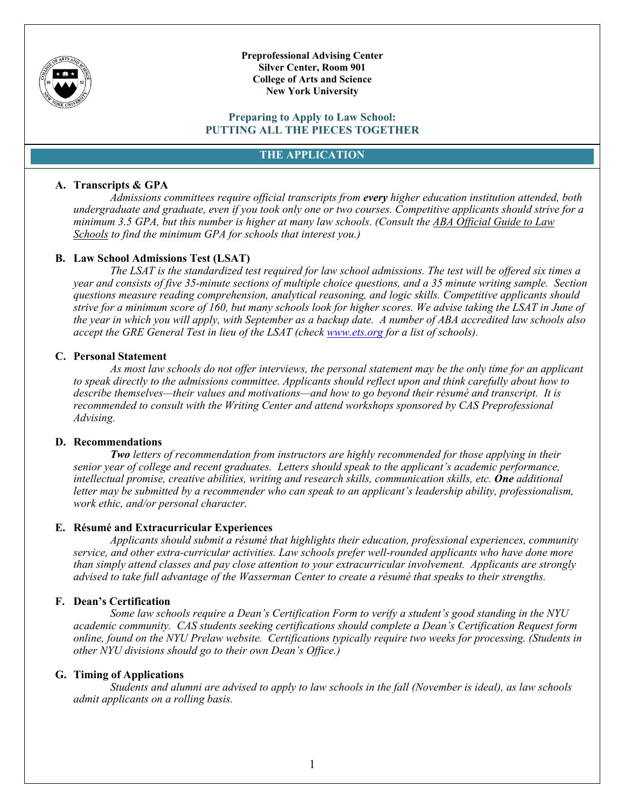

**Preprofessional Advising Center Silver Center, Room 901 College of Arts and Science New York University**

#### **Preparing to Apply to Law School: PUTTING ALL THE PIECES TOGETHER**

### **THE APPLICATION**

### **A. Transcripts & GPA**

*Admissions committees require official transcripts from every higher education institution attended, both undergraduate and graduate, even if you took only one or two courses. Competitive applicants should strive for a minimum 3.5 GPA, but this number is higher at many law schools. (Consult the ABA Official Guide to Law Schools to find the minimum GPA for schools that interest you.)*

### **B. Law School Admissions Test (LSAT)**

*The LSAT is the standardized test required for law school admissions. The test will be offered six times a year and consists of five 35-minute sections of multiple choice questions, and a 35 minute writing sample. Section questions measure reading comprehension, analytical reasoning, and logic skills. Competitive applicants should strive for a minimum score of 160, but many schools look for higher scores. We advise taking the LSAT in June of the year in which you will apply, with September as a backup date. A number of ABA accredited law schools also accept the GRE General Test in lieu of the LSAT (check [www.ets.org](http://www.ets.org/) for a list of schools).* 

### **C. Personal Statement**

*As most law schools do not offer interviews, the personal statement may be the only time for an applicant to speak directly to the admissions committee. Applicants should reflect upon and think carefully about how to describe themselves—their values and motivations—and how to go beyond their résumé and transcript. It is recommended to consult with the Writing Center and attend workshops sponsored by CAS Preprofessional Advising.* 

#### **D. Recommendations**

*Two letters of recommendation from instructors are highly recommended for those applying in their senior year of college and recent graduates. Letters should speak to the applicant's academic performance, intellectual promise, creative abilities, writing and research skills, communication skills, etc. One additional letter may be submitted by a recommender who can speak to an applicant's leadership ability, professionalism, work ethic, and/or personal character.*

### **E. Résumé and Extracurricular Experiences**

*Applicants should submit a résumé that highlights their education, professional experiences, community service, and other extra-curricular activities. Law schools prefer well-rounded applicants who have done more than simply attend classes and pay close attention to your extracurricular involvement. Applicants are strongly advised to take full advantage of the Wasserman Center to create a résumé that speaks to their strengths.* 

### **F. Dean's Certification**

*Some law schools require a Dean's Certification Form to verify a student's good standing in the NYU academic community. CAS students seeking certifications should complete a Dean's Certification Request form online, found on the NYU Prelaw website. Certifications typically require two weeks for processing. (Students in other NYU divisions should go to their own Dean's Office.)*

#### **G. Timing of Applications**

*Students and alumni are advised to apply to law schools in the fall (November is ideal), as law schools admit applicants on a rolling basis.*